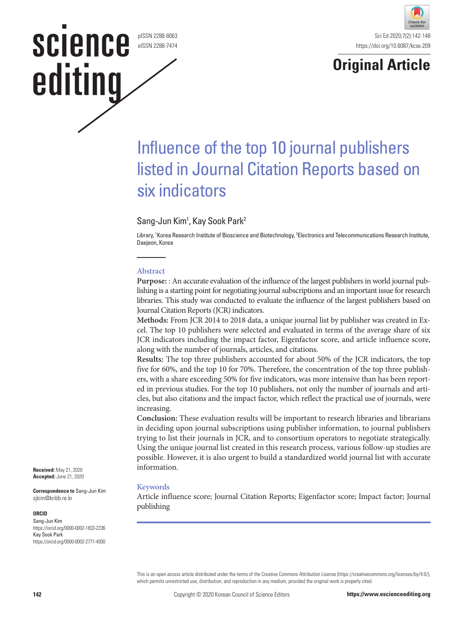#### pISSN 2288-8063 eISSN 2288-7474

science

editing



# **Original Article**

# Influence of the top 10 journal publishers listed in Journal Citation Reports based on six indicators

## Sang-Jun Kim<sup>1</sup>, Kay Sook Park<sup>2</sup>

Library, 1 Korea Research Institute of Bioscience and Biotechnology, 2 Electronics and Telecommunications Research Institute, Daejeon, Korea

#### **Abstract**

**Purpose:** : An accurate evaluation of the influence of the largest publishers in world journal publishing is a starting point for negotiating journal subscriptions and an important issue for research libraries. This study was conducted to evaluate the influence of the largest publishers based on Journal Citation Reports (JCR) indicators.

**Methods:** From JCR 2014 to 2018 data, a unique journal list by publisher was created in Excel. The top 10 publishers were selected and evaluated in terms of the average share of six JCR indicators including the impact factor, Eigenfactor score, and article influence score, along with the number of journals, articles, and citations.

**Results:** The top three publishers accounted for about 50% of the JCR indicators, the top five for 60%, and the top 10 for 70%. Therefore, the concentration of the top three publishers, with a share exceeding 50% for five indicators, was more intensive than has been reported in previous studies. For the top 10 publishers, not only the number of journals and articles, but also citations and the impact factor, which reflect the practical use of journals, were increasing.

**Conclusion:** These evaluation results will be important to research libraries and librarians in deciding upon journal subscriptions using publisher information, to journal publishers trying to list their journals in JCR, and to consortium operators to negotiate strategically. Using the unique journal list created in this research process, various follow-up studies are possible. However, it is also urgent to build a standardized world journal list with accurate information.

#### **Keywords**

Article influence score; Journal Citation Reports; Eigenfactor score; Impact factor; Journal publishing

This is an open access article distributed under the terms of the Creative Commons Attribution License (https://creativecommons.org/licenses/by/4.0/), which permits unrestricted use, distribution, and reproduction in any medium, provided the original work is properly cited.

**Received:** May 21, 2020 **Accepted:** June 21, 2020

**Correspondence to** Sang-Jun Kim sjkim@kribb.re.kr

#### **ORCID**

Sang-Jun Kim https://orcid.org/0000-0002-1833-2236 Kay Sook Park https://orcid.org/0000-0002-2771-4930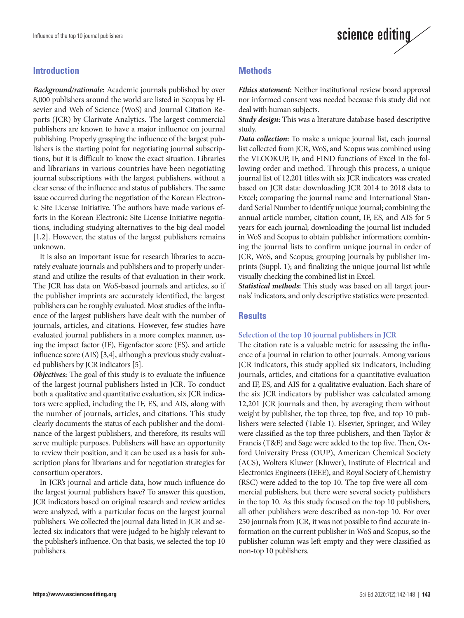### **Introduction**

*Background/rationale***:** Academic journals published by over 8,000 publishers around the world are listed in Scopus by Elsevier and Web of Science (WoS) and Journal Citation Reports (JCR) by Clarivate Analytics. The largest commercial publishers are known to have a major influence on journal publishing. Properly grasping the influence of the largest publishers is the starting point for negotiating journal subscriptions, but it is difficult to know the exact situation. Libraries and librarians in various countries have been negotiating journal subscriptions with the largest publishers, without a clear sense of the influence and status of publishers. The same issue occurred during the negotiation of the Korean Electronic Site License Initiative. The authors have made various efforts in the Korean Electronic Site License Initiative negotiations, including studying alternatives to the big deal model [1,2]. However, the status of the largest publishers remains unknown.

It is also an important issue for research libraries to accurately evaluate journals and publishers and to properly understand and utilize the results of that evaluation in their work. The JCR has data on WoS-based journals and articles, so if the publisher imprints are accurately identified, the largest publishers can be roughly evaluated. Most studies of the influence of the largest publishers have dealt with the number of journals, articles, and citations. However, few studies have evaluated journal publishers in a more complex manner, using the impact factor (IF), Eigenfactor score (ES), and article influence score (AIS) [3,4], although a previous study evaluated publishers by JCR indicators [5].

*Objectives***:** The goal of this study is to evaluate the influence of the largest journal publishers listed in JCR. To conduct both a qualitative and quantitative evaluation, six JCR indicators were applied, including the IF, ES, and AIS, along with the number of journals, articles, and citations. This study clearly documents the status of each publisher and the dominance of the largest publishers, and therefore, its results will serve multiple purposes. Publishers will have an opportunity to review their position, and it can be used as a basis for subscription plans for librarians and for negotiation strategies for consortium operators.

In JCR's journal and article data, how much influence do the largest journal publishers have? To answer this question, JCR indicators based on original research and review articles were analyzed, with a particular focus on the largest journal publishers. We collected the journal data listed in JCR and selected six indicators that were judged to be highly relevant to the publisher's influence. On that basis, we selected the top 10 publishers.

## **Methods**

*Ethics statement***:** Neither institutional review board approval nor informed consent was needed because this study did not deal with human subjects.

science editing

*Study design***:** This was a literature database-based descriptive study.

*Data collection***:** To make a unique journal list, each journal list collected from JCR, WoS, and Scopus was combined using the VLOOKUP, IF, and FIND functions of Excel in the following order and method. Through this process, a unique journal list of 12,201 titles with six JCR indicators was created based on JCR data: downloading JCR 2014 to 2018 data to Excel; comparing the journal name and International Standard Serial Number to identify unique journal; combining the annual article number, citation count, IF, ES, and AIS for 5 years for each journal; downloading the journal list included in WoS and Scopus to obtain publisher information; combining the journal lists to confirm unique journal in order of JCR, WoS, and Scopus; grouping journals by publisher imprints (Suppl. 1); and finalizing the unique journal list while visually checking the combined list in Excel.

*Statistical methods***:** This study was based on all target journals' indicators, and only descriptive statistics were presented.

#### **Results**

#### **Selection of the top 10 journal publishers in JCR**

The citation rate is a valuable metric for assessing the influence of a journal in relation to other journals. Among various JCR indicators, this study applied six indicators, including journals, articles, and citations for a quantitative evaluation and IF, ES, and AIS for a qualitative evaluation. Each share of the six JCR indicators by publisher was calculated among 12,201 JCR journals and then, by averaging them without weight by publisher, the top three, top five, and top 10 publishers were selected (Table 1). Elsevier, Springer, and Wiley were classified as the top three publishers, and then Taylor & Francis (T&F) and Sage were added to the top five. Then, Oxford University Press (OUP), American Chemical Society (ACS), Wolters Kluwer (Kluwer), Institute of Electrical and Electronics Engineers (IEEE), and Royal Society of Chemistry (RSC) were added to the top 10. The top five were all commercial publishers, but there were several society publishers in the top 10. As this study focused on the top 10 publishers, all other publishers were described as non-top 10. For over 250 journals from JCR, it was not possible to find accurate information on the current publisher in WoS and Scopus, so the publisher column was left empty and they were classified as non-top 10 publishers.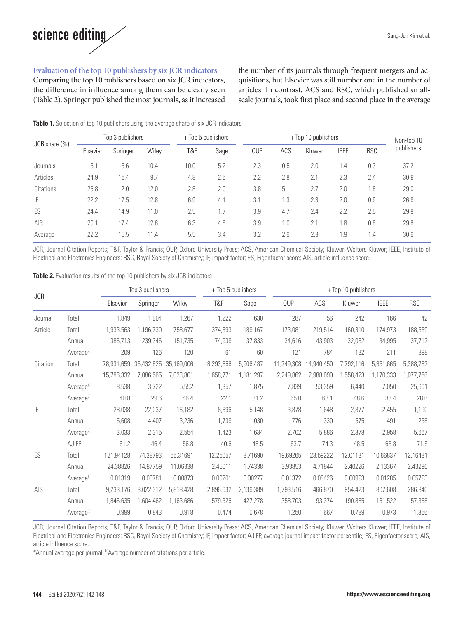

#### **Evaluation of the top 10 publishers by six JCR indicators**

Comparing the top 10 publishers based on six JCR indicators, the difference in influence among them can be clearly seen (Table 2). Springer published the most journals, as it increased the number of its journals through frequent mergers and acquisitions, but Elsevier was still number one in the number of articles. In contrast, ACS and RSC, which published smallscale journals, took first place and second place in the average

#### **Table 1.** Selection of top 10 publishers using the average share of six JCR indicators

| $JCR share (\%)$ | Top 3 publishers |          |       | + Top 5 publishers |      | + Top 10 publishers |     |        |             |            | Non-top 10 |
|------------------|------------------|----------|-------|--------------------|------|---------------------|-----|--------|-------------|------------|------------|
|                  | Elsevier         | Springer | Wilev | T&F                | Sage | <b>OUP</b>          | ACS | Kluwer | <b>IEEE</b> | <b>RSC</b> | publishers |
| Journals         | 15.1             | 15.6     | 10.4  | 10.0               | 5.2  | 2.3                 | 0.5 | 2.0    | 1.4         | 0.3        | 37.2       |
| Articles         | 24.9             | 15.4     | 9.7   | 4.8                | 2.5  | 2.2                 | 2.8 | 2.1    | 2.3         | 2.4        | 30.9       |
| Citations        | 26.8             | 12.0     | 12.0  | 2.8                | 2.0  | 3.8                 | 5.1 | 2.7    | 2.0         | 1.8        | 29.0       |
| IF               | 22.2             | 17.5     | 12.8  | 6.9                | 4.1  | 3.1                 | 1.3 | 2.3    | 2.0         | 0.9        | 26.9       |
| ES               | 24.4             | 14.9     | 11.0  | 2.5                | 1.7  | 3.9                 | 4.7 | 2.4    | 2.2         | 2.5        | 29.8       |
| AIS              | 20.1             | 17.4     | 12.6  | 6.3                | 4.6  | 3.9                 | 1.0 | 2.1    | 1.8         | 0.6        | 29.6       |
| Average          | 22.2             | 15.5     | 11.4  | 5.5                | 3.4  | 3.2                 | 2.6 | 2.3    | 1.9         | 1.4        | 30.6       |

JCR, Journal Citation Reports; T&F, Taylor & Francis; OUP, Oxford University Press; ACS, American Chemical Society; Kluwer, Wolters Kluwer; IEEE, Institute of Electrical and Electronics Engineers; RSC, Royal Society of Chemistry; IF, impact factor; ES, Eigenfactor score; AIS, article influence score.

|            |                       | Top 3 publishers |            |            |           | + Top 5 publishers |            | + Top 10 publishers |           |             |            |  |
|------------|-----------------------|------------------|------------|------------|-----------|--------------------|------------|---------------------|-----------|-------------|------------|--|
| <b>JCR</b> |                       | Elsevier         | Springer   | Wiley      | T&F       | Sage               | <b>OUP</b> | ACS                 | Kluwer    | <b>IEEE</b> | <b>RSC</b> |  |
| Journal    | Total                 | 1,849            | 1,904      | 1,267      | 1,222     | 630                | 287        | 56                  | 242       | 166         | 42         |  |
| Article    | Total                 | 1,933,563        | 1,196,730  | 758,677    | 374,693   | 189,167            | 173,081    | 219,514             | 160,310   | 174,973     | 188,559    |  |
|            | Annual                | 386,713          | 239,346    | 151,735    | 74,939    | 37,833             | 34,616     | 43,903              | 32,062    | 34,995      | 37,712     |  |
|            | Average <sup>a)</sup> | 209              | 126        | 120        | 61        | 60                 | 121        | 784                 | 132       | 211         | 898        |  |
| Citation   | Total                 | 78.931.659       | 35,432,825 | 35.169.006 | 8,293,856 | 5,906,487          | 11,249,308 | 14.940.450          | 7,792,116 | 5.851.665   | 5,388,782  |  |
|            | Annual                | 15,786,332       | 7,086,565  | 7,033,801  | 1,658,771 | 1,181,297          | 2,249,862  | 2,988,090           | 1,558,423 | 1,170,333   | 1,077,756  |  |
|            | Average <sup>a)</sup> | 8,538            | 3,722      | 5,552      | 1,357     | 1,875              | 7,839      | 53,359              | 6.440     | 7,050       | 25,661     |  |
|            | Average <sup>b)</sup> | 40.8             | 29.6       | 46.4       | 22.1      | 31.2               | 65.0       | 68.1                | 48.6      | 33.4        | 28.6       |  |
| IF         | Total                 | 28,038           | 22,037     | 16,182     | 8.696     | 5,148              | 3,878      | 1,648               | 2,877     | 2,455       | 1,190      |  |
|            | Annual                | 5,608            | 4,407      | 3,236      | 1,739     | 1,030              | 776        | 330                 | 575       | 491         | 238        |  |
|            | Average <sup>a)</sup> | 3.033            | 2.315      | 2.554      | 1.423     | 1.634              | 2.702      | 5.886               | 2.378     | 2.958       | 5.667      |  |
|            | <b>AJIFP</b>          | 61.2             | 46.4       | 56.8       | 40.6      | 48.5               | 63.7       | 74.3                | 48.5      | 65.8        | 71.5       |  |
| ES         | Total                 | 121.94128        | 74.38793   | 55.31691   | 12.25057  | 8.71690            | 19.69265   | 23.59222            | 12.01131  | 10.66837    | 12.16481   |  |
|            | Annual                | 24.38826         | 14.87759   | 11.06338   | 2.45011   | 1.74338            | 3.93853    | 4.71844             | 2.40226   | 2.13367     | 2.43296    |  |
|            | Average <sup>a)</sup> | 0.01319          | 0.00781    | 0.00873    | 0.00201   | 0.00277            | 0.01372    | 0.08426             | 0.00993   | 0.01285     | 0.05793    |  |
| AIS        | Total                 | 9,233.176        | 8,022.312  | 5,818.428  | 2,896.632 | 2,136.389          | 1,793.516  | 466.870             | 954.423   | 807.608     | 286.840    |  |
|            | Annual                | 1,846.635        | 1,604.462  | 1,163.686  | 579.326   | 427.278            | 358.703    | 93.374              | 190.885   | 161.522     | 57.368     |  |
|            | Average <sup>a)</sup> | 0.999            | 0.843      | 0.918      | 0.474     | 0.678              | 1.250      | 1.667               | 0.789     | 0.973       | 1.366      |  |

JCR, Journal Citation Reports; T&F, Taylor & Francis; OUP, Oxford University Press; ACS, American Chemical Society; Kluwer, Wolters Kluwer; IEEE, Institute of Electrical and Electronics Engineers; RSC, Royal Society of Chemistry; IF, impact factor; AJIFP, average journal impact factor percentile; ES, Eigenfactor score; AIS, article influence score.

a)Annual average per journal; b)Average number of citations per article.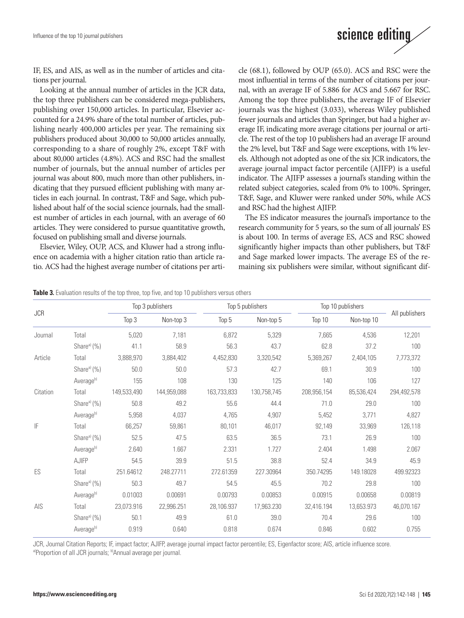

IF, ES, and AIS, as well as in the number of articles and citations per journal.

Looking at the annual number of articles in the JCR data, the top three publishers can be considered mega-publishers, publishing over 150,000 articles. In particular, Elsevier accounted for a 24.9% share of the total number of articles, publishing nearly 400,000 articles per year. The remaining six publishers produced about 30,000 to 50,000 articles annually, corresponding to a share of roughly 2%, except T&F with about 80,000 articles (4.8%). ACS and RSC had the smallest number of journals, but the annual number of articles per journal was about 800, much more than other publishers, indicating that they pursued efficient publishing with many articles in each journal. In contrast, T&F and Sage, which published about half of the social science journals, had the smallest number of articles in each journal, with an average of 60 articles. They were considered to pursue quantitative growth, focused on publishing small and diverse journals.

Elsevier, Wiley, OUP, ACS, and Kluwer had a strong influence on academia with a higher citation ratio than article ratio. ACS had the highest average number of citations per article (68.1), followed by OUP (65.0). ACS and RSC were the most influential in terms of the number of citations per journal, with an average IF of 5.886 for ACS and 5.667 for RSC. Among the top three publishers, the average IF of Elsevier journals was the highest (3.033), whereas Wiley published fewer journals and articles than Springer, but had a higher average IF, indicating more average citations per journal or article. The rest of the top 10 publishers had an average IF around the 2% level, but T&F and Sage were exceptions, with 1% levels. Although not adopted as one of the six JCR indicators, the average journal impact factor percentile (AJIFP) is a useful indicator. The AJIFP assesses a journal's standing within the related subject categories, scaled from 0% to 100%. Springer, T&F, Sage, and Kluwer were ranked under 50%, while ACS and RSC had the highest AJIFP.

The ES indicator measures the journal's importance to the research community for 5 years, so the sum of all journals' ES is about 100. In terms of average ES, ACS and RSC showed significantly higher impacts than other publishers, but T&F and Sage marked lower impacts. The average ES of the remaining six publishers were similar, without significant dif-

**Table 3.** Evaluation results of the top three, top five, and top 10 publishers versus others

|            |                         |             | Top 3 publishers |             | Top 5 publishers | Top 10 publishers |            |                |
|------------|-------------------------|-------------|------------------|-------------|------------------|-------------------|------------|----------------|
| <b>JCR</b> |                         | Top 3       | Non-top 3        | Top 5       | Non-top 5        | Top 10            | Non-top 10 | All publishers |
| Journal    | Total                   | 5,020       | 7,181            | 6,872       | 5,329            | 7,665             | 4,536      | 12,201         |
|            | Share <sup>a)</sup> (%) | 41.1        | 58.9             | 56.3        | 43.7             | 62.8              | 37.2       | 100            |
| Article    | Total                   | 3,888,970   | 3,884,402        | 4,452,830   | 3,320,542        | 5,369,267         | 2,404,105  | 7,773,372      |
|            | Share <sup>a)</sup> (%) | 50.0        | 50.0             | 57.3        | 42.7             | 69.1              | 30.9       | 100            |
|            | Average <sup>b)</sup>   | 155         | 108              | 130         | 125              | 140               | 106        | 127            |
| Citation   | Total                   | 149,533,490 | 144,959,088      | 163,733,833 | 130,758,745      | 208,956,154       | 85,536,424 | 294,492,578    |
|            | Share <sup>a)</sup> (%) | 50.8        | 49.2             | 55.6        | 44.4             | 71.0              | 29.0       | 100            |
|            | Average <sup>b)</sup>   | 5,958       | 4,037            | 4,765       | 4,907            | 5,452             | 3,771      | 4,827          |
| IF         | Total                   | 66,257      | 59,861           | 80,101      | 46,017           | 92,149            | 33,969     | 126,118        |
|            | Share <sup>a)</sup> (%) | 52.5        | 47.5             | 63.5        | 36.5             | 73.1              | 26.9       | 100            |
|            | Average <sup>b)</sup>   | 2.640       | 1.667            | 2.331       | 1.727            | 2.404             | 1.498      | 2.067          |
|            | AJIFP                   | 54.5        | 39.9             | 51.5        | 38.8             | 52.4              | 34.9       | 45.9           |
| ES         | Total                   | 251.64612   | 248.27711        | 272.61359   | 227.30964        | 350.74295         | 149.18028  | 499.92323      |
|            | Share <sup>a)</sup> (%) | 50.3        | 49.7             | 54.5        | 45.5             | 70.2              | 29.8       | 100            |
|            | Average <sup>b)</sup>   | 0.01003     | 0.00691          | 0.00793     | 0.00853          | 0.00915           | 0.00658    | 0.00819        |
| AIS        | Total                   | 23,073.916  | 22,996.251       | 28,106.937  | 17,963.230       | 32,416.194        | 13,653.973 | 46,070.167     |
|            | Share <sup>a)</sup> (%) | 50.1        | 49.9             | 61.0        | 39.0             | 70.4              | 29.6       | 100            |
|            | Average <sup>b)</sup>   | 0.919       | 0.640            | 0.818       | 0.674            | 0.846             | 0.602      | 0.755          |

JCR, Journal Citation Reports; IF, impact factor; AJIFP, average journal impact factor percentile; ES, Eigenfactor score; AIS, article influence score. a)Proportion of all JCR journals; b)Annual average per journal.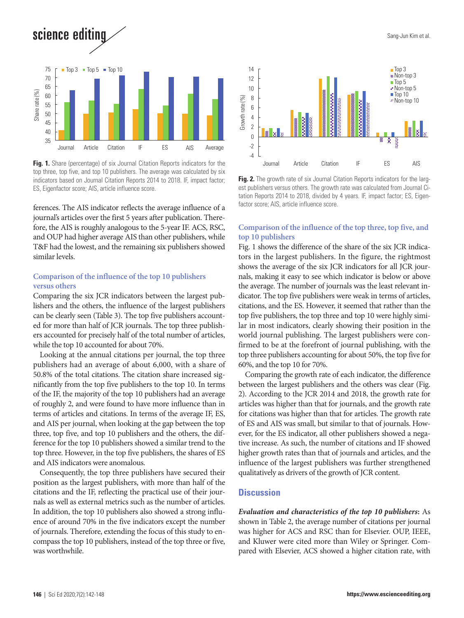science editing



top three, top five, and top 10 publishers. The average was calculated by six indicators based on Journal Citation Reports 2014 to 2018. IF, impact factor; ES, Eigenfactor score; AIS, article influence score.

ferences. The AIS indicator reflects the average influence of a journal's articles over the first 5 years after publication. Therefore, the AIS is roughly analogous to the 5-year IF. ACS, RSC, and OUP had higher average AIS than other publishers, while T&F had the lowest, and the remaining six publishers showed similar levels.

#### **Comparison of the influence of the top 10 publishers versus others**

Comparing the six JCR indicators between the largest publishers and the others, the influence of the largest publishers can be clearly seen (Table 3). The top five publishers accounted for more than half of JCR journals. The top three publishers accounted for precisely half of the total number of articles, while the top 10 accounted for about 70%.

Looking at the annual citations per journal, the top three publishers had an average of about 6,000, with a share of 50.8% of the total citations. The citation share increased significantly from the top five publishers to the top 10. In terms of the IF, the majority of the top 10 publishers had an average of roughly 2, and were found to have more influence than in terms of articles and citations. In terms of the average IF, ES, and AIS per journal, when looking at the gap between the top three, top five, and top 10 publishers and the others, the difference for the top 10 publishers showed a similar trend to the top three. However, in the top five publishers, the shares of ES and AIS indicators were anomalous.

Consequently, the top three publishers have secured their position as the largest publishers, with more than half of the citations and the IF, reflecting the practical use of their journals as well as external metrics such as the number of articles. In addition, the top 10 publishers also showed a strong influence of around 70% in the five indicators except the number of journals. Therefore, extending the focus of this study to encompass the top 10 publishers, instead of the top three or five, was worthwhile.



**Fig. 2.** The growth rate of six Journal Citation Reports indicators for the largest publishers versus others. The growth rate was calculated from Journal Citation Reports 2014 to 2018, divided by 4 years. IF, impact factor; ES, Eigenfactor score; AIS, article influence score.

#### **Comparison of the influence of the top three, top five, and top 10 publishers**

Fig. 1 shows the difference of the share of the six JCR indicators in the largest publishers. In the figure, the rightmost shows the average of the six JCR indicators for all JCR journals, making it easy to see which indicator is below or above the average. The number of journals was the least relevant indicator. The top five publishers were weak in terms of articles, citations, and the ES. However, it seemed that rather than the top five publishers, the top three and top 10 were highly similar in most indicators, clearly showing their position in the world journal publishing. The largest publishers were confirmed to be at the forefront of journal publishing, with the top three publishers accounting for about 50%, the top five for 60%, and the top 10 for 70%.

Comparing the growth rate of each indicator, the difference between the largest publishers and the others was clear (Fig. 2). According to the JCR 2014 and 2018, the growth rate for articles was higher than that for journals, and the growth rate for citations was higher than that for articles. The growth rate of ES and AIS was small, but similar to that of journals. However, for the ES indicator, all other publishers showed a negative increase. As such, the number of citations and IF showed higher growth rates than that of journals and articles, and the influence of the largest publishers was further strengthened qualitatively as drivers of the growth of JCR content.

#### **Discussion**

*Evaluation and characteristics of the top 10 publishers***:** As shown in Table 2, the average number of citations per journal was higher for ACS and RSC than for Elsevier. OUP, IEEE, and Kluwer were cited more than Wiley or Springer. Compared with Elsevier, ACS showed a higher citation rate, with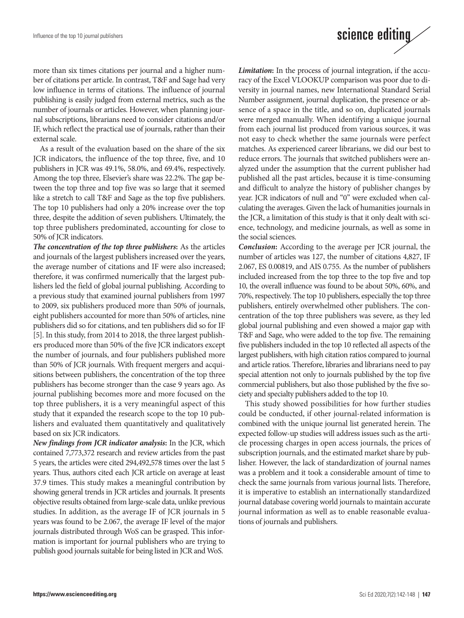

more than six times citations per journal and a higher number of citations per article. In contrast, T&F and Sage had very low influence in terms of citations. The influence of journal publishing is easily judged from external metrics, such as the number of journals or articles. However, when planning journal subscriptions, librarians need to consider citations and/or IF, which reflect the practical use of journals, rather than their external scale.

As a result of the evaluation based on the share of the six JCR indicators, the influence of the top three, five, and 10 publishers in JCR was 49.1%, 58.0%, and 69.4%, respectively. Among the top three, Elsevier's share was 22.2%. The gap between the top three and top five was so large that it seemed like a stretch to call T&F and Sage as the top five publishers. The top 10 publishers had only a 20% increase over the top three, despite the addition of seven publishers. Ultimately, the top three publishers predominated, accounting for close to 50% of JCR indicators.

*The concentration of the top three publishers***:** As the articles and journals of the largest publishers increased over the years, the average number of citations and IF were also increased; therefore, it was confirmed numerically that the largest publishers led the field of global journal publishing. According to a previous study that examined journal publishers from 1997 to 2009, six publishers produced more than 50% of journals, eight publishers accounted for more than 50% of articles, nine publishers did so for citations, and ten publishers did so for IF [5]. In this study, from 2014 to 2018, the three largest publishers produced more than 50% of the five JCR indicators except the number of journals, and four publishers published more than 50% of JCR journals. With frequent mergers and acquisitions between publishers, the concentration of the top three publishers has become stronger than the case 9 years ago. As journal publishing becomes more and more focused on the top three publishers, it is a very meaningful aspect of this study that it expanded the research scope to the top 10 publishers and evaluated them quantitatively and qualitatively based on six JCR indicators.

*New findings from JCR indicator analysis***:** In the JCR, which contained 7,773,372 research and review articles from the past 5 years, the articles were cited 294,492,578 times over the last 5 years. Thus, authors cited each JCR article on average at least 37.9 times. This study makes a meaningful contribution by showing general trends in JCR articles and journals. It presents objective results obtained from large-scale data, unlike previous studies. In addition, as the average IF of JCR journals in 5 years was found to be 2.067, the average IF level of the major journals distributed through WoS can be grasped. This information is important for journal publishers who are trying to publish good journals suitable for being listed in JCR and WoS.

*Limitation***:** In the process of journal integration, if the accuracy of the Excel VLOOKUP comparison was poor due to diversity in journal names, new International Standard Serial Number assignment, journal duplication, the presence or absence of a space in the title, and so on, duplicated journals were merged manually. When identifying a unique journal from each journal list produced from various sources, it was not easy to check whether the same journals were perfect matches. As experienced career librarians, we did our best to reduce errors. The journals that switched publishers were analyzed under the assumption that the current publisher had published all the past articles, because it is time-consuming and difficult to analyze the history of publisher changes by year. JCR indicators of null and "0" were excluded when calculating the averages. Given the lack of humanities journals in the JCR, a limitation of this study is that it only dealt with science, technology, and medicine journals, as well as some in the social sciences.

*Conclusion***:** According to the average per JCR journal, the number of articles was 127, the number of citations 4,827, IF 2.067, ES 0.00819, and AIS 0.755. As the number of publishers included increased from the top three to the top five and top 10, the overall influence was found to be about 50%, 60%, and 70%, respectively. The top 10 publishers, especially the top three publishers, entirely overwhelmed other publishers. The concentration of the top three publishers was severe, as they led global journal publishing and even showed a major gap with T&F and Sage, who were added to the top five. The remaining five publishers included in the top 10 reflected all aspects of the largest publishers, with high citation ratios compared to journal and article ratios. Therefore, libraries and librarians need to pay special attention not only to journals published by the top five commercial publishers, but also those published by the five society and specialty publishers added to the top 10.

This study showed possibilities for how further studies could be conducted, if other journal-related information is combined with the unique journal list generated herein. The expected follow-up studies will address issues such as the article processing charges in open access journals, the prices of subscription journals, and the estimated market share by publisher. However, the lack of standardization of journal names was a problem and it took a considerable amount of time to check the same journals from various journal lists. Therefore, it is imperative to establish an internationally standardized journal database covering world journals to maintain accurate journal information as well as to enable reasonable evaluations of journals and publishers.